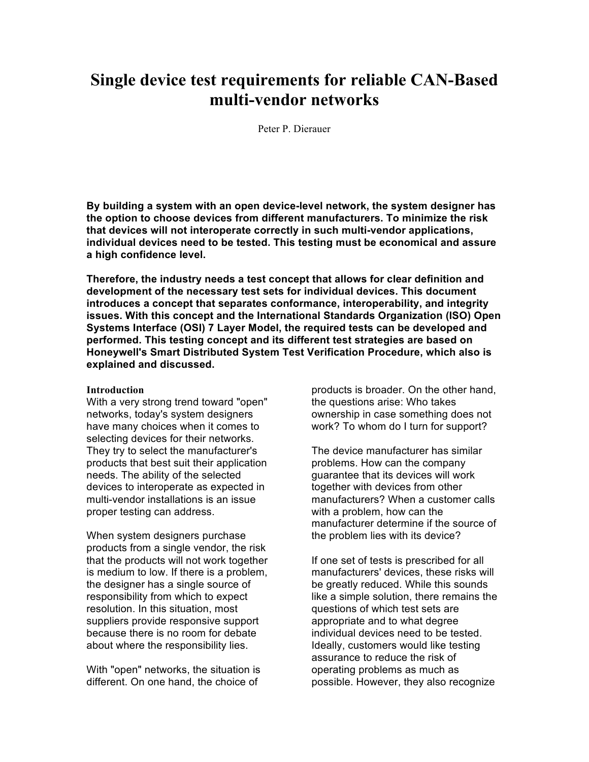# **Single device test requirements for reliable CAN-Based multi-vendor networks**

Peter P. Dierauer

**By building a system with an open device-level network, the system designer has the option to choose devices from different manufacturers. To minimize the risk that devices will not interoperate correctly in such multi-vendor applications, individual devices need to be tested. This testing must be economical and assure a high confidence level.**

**Therefore, the industry needs a test concept that allows for clear definition and development of the necessary test sets for individual devices. This document introduces a concept that separates conformance, interoperability, and integrity issues. With this concept and the International Standards Organization (ISO) Open Systems Interface (OSI) 7 Layer Model, the required tests can be developed and performed. This testing concept and its different test strategies are based on Honeywell's Smart Distributed System Test Verification Procedure, which also is explained and discussed.** 

#### **Introduction**

With a very strong trend toward "open" networks, today's system designers have many choices when it comes to selecting devices for their networks. They try to select the manufacturer's products that best suit their application needs. The ability of the selected devices to interoperate as expected in multi-vendor installations is an issue proper testing can address.

When system designers purchase products from a single vendor, the risk that the products will not work together is medium to low. If there is a problem, the designer has a single source of responsibility from which to expect resolution. In this situation, most suppliers provide responsive support because there is no room for debate about where the responsibility lies.

With "open" networks, the situation is different. On one hand, the choice of

products is broader. On the other hand, the questions arise: Who takes ownership in case something does not work? To whom do I turn for support?

The device manufacturer has similar problems. How can the company guarantee that its devices will work together with devices from other manufacturers? When a customer calls with a problem, how can the manufacturer determine if the source of the problem lies with its device?

If one set of tests is prescribed for all manufacturers' devices, these risks will be greatly reduced. While this sounds like a simple solution, there remains the questions of which test sets are appropriate and to what degree individual devices need to be tested. Ideally, customers would like testing assurance to reduce the risk of operating problems as much as possible. However, they also recognize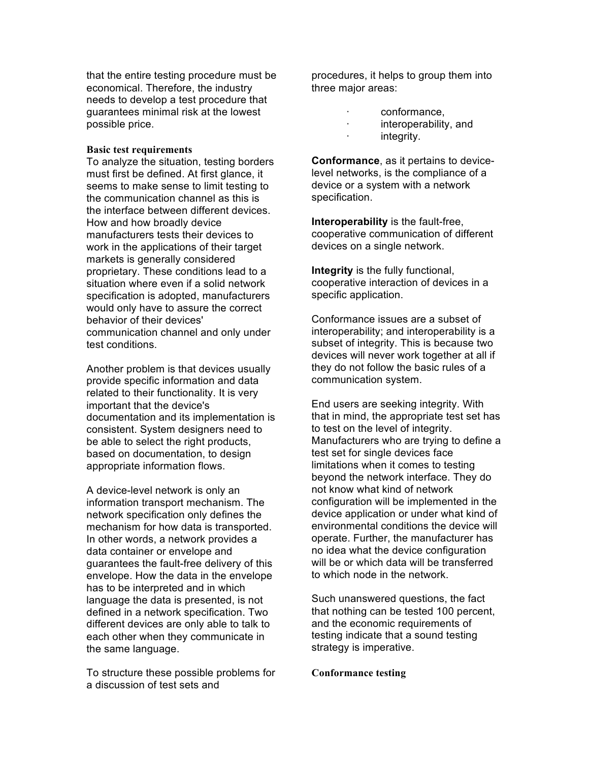that the entire testing procedure must be economical. Therefore, the industry needs to develop a test procedure that guarantees minimal risk at the lowest possible price.

#### **Basic test requirements**

To analyze the situation, testing borders must first be defined. At first glance, it seems to make sense to limit testing to the communication channel as this is the interface between different devices. How and how broadly device manufacturers tests their devices to work in the applications of their target markets is generally considered proprietary. These conditions lead to a situation where even if a solid network specification is adopted, manufacturers would only have to assure the correct behavior of their devices' communication channel and only under test conditions.

Another problem is that devices usually provide specific information and data related to their functionality. It is very important that the device's documentation and its implementation is consistent. System designers need to be able to select the right products. based on documentation, to design appropriate information flows.

A device-level network is only an information transport mechanism. The network specification only defines the mechanism for how data is transported. In other words, a network provides a data container or envelope and guarantees the fault-free delivery of this envelope. How the data in the envelope has to be interpreted and in which language the data is presented, is not defined in a network specification. Two different devices are only able to talk to each other when they communicate in the same language.

To structure these possible problems for a discussion of test sets and

procedures, it helps to group them into three major areas:

- · conformance,
- · interoperability, and
	- integrity.

**Conformance**, as it pertains to devicelevel networks, is the compliance of a device or a system with a network specification.

**Interoperability** is the fault-free, cooperative communication of different devices on a single network.

**Integrity** is the fully functional, cooperative interaction of devices in a specific application.

Conformance issues are a subset of interoperability; and interoperability is a subset of integrity. This is because two devices will never work together at all if they do not follow the basic rules of a communication system.

End users are seeking integrity. With that in mind, the appropriate test set has to test on the level of integrity. Manufacturers who are trying to define a test set for single devices face limitations when it comes to testing beyond the network interface. They do not know what kind of network configuration will be implemented in the device application or under what kind of environmental conditions the device will operate. Further, the manufacturer has no idea what the device configuration will be or which data will be transferred to which node in the network.

Such unanswered questions, the fact that nothing can be tested 100 percent, and the economic requirements of testing indicate that a sound testing strategy is imperative.

## **Conformance testing**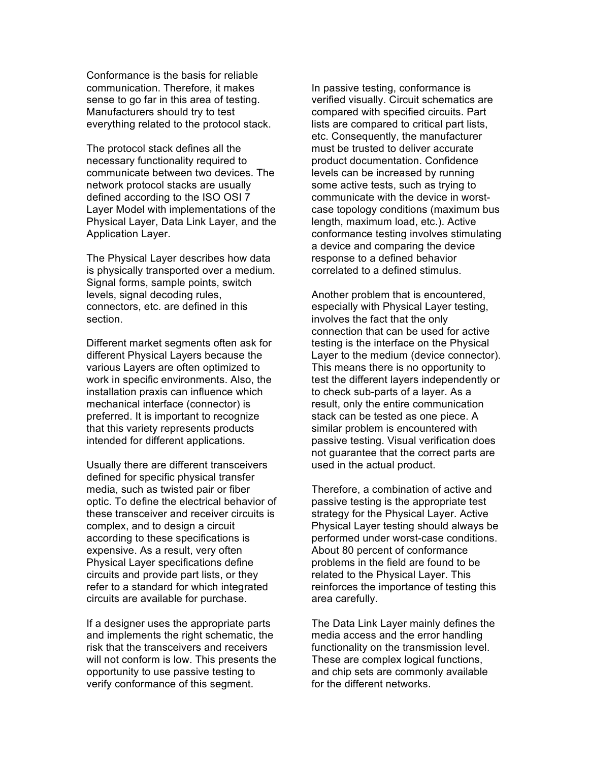Conformance is the basis for reliable communication. Therefore, it makes sense to go far in this area of testing. Manufacturers should try to test everything related to the protocol stack.

The protocol stack defines all the necessary functionality required to communicate between two devices. The network protocol stacks are usually defined according to the ISO OSI 7 Layer Model with implementations of the Physical Layer, Data Link Layer, and the Application Layer.

The Physical Layer describes how data is physically transported over a medium. Signal forms, sample points, switch levels, signal decoding rules, connectors, etc. are defined in this section.

Different market segments often ask for different Physical Layers because the various Layers are often optimized to work in specific environments. Also, the installation praxis can influence which mechanical interface (connector) is preferred. It is important to recognize that this variety represents products intended for different applications.

Usually there are different transceivers defined for specific physical transfer media, such as twisted pair or fiber optic. To define the electrical behavior of these transceiver and receiver circuits is complex, and to design a circuit according to these specifications is expensive. As a result, very often Physical Layer specifications define circuits and provide part lists, or they refer to a standard for which integrated circuits are available for purchase.

If a designer uses the appropriate parts and implements the right schematic, the risk that the transceivers and receivers will not conform is low. This presents the opportunity to use passive testing to verify conformance of this segment.

In passive testing, conformance is verified visually. Circuit schematics are compared with specified circuits. Part lists are compared to critical part lists, etc. Consequently, the manufacturer must be trusted to deliver accurate product documentation. Confidence levels can be increased by running some active tests, such as trying to communicate with the device in worstcase topology conditions (maximum bus length, maximum load, etc.). Active conformance testing involves stimulating a device and comparing the device response to a defined behavior correlated to a defined stimulus.

Another problem that is encountered, especially with Physical Layer testing, involves the fact that the only connection that can be used for active testing is the interface on the Physical Layer to the medium (device connector). This means there is no opportunity to test the different layers independently or to check sub-parts of a layer. As a result, only the entire communication stack can be tested as one piece. A similar problem is encountered with passive testing. Visual verification does not guarantee that the correct parts are used in the actual product.

Therefore, a combination of active and passive testing is the appropriate test strategy for the Physical Layer. Active Physical Layer testing should always be performed under worst-case conditions. About 80 percent of conformance problems in the field are found to be related to the Physical Layer. This reinforces the importance of testing this area carefully.

The Data Link Layer mainly defines the media access and the error handling functionality on the transmission level. These are complex logical functions, and chip sets are commonly available for the different networks.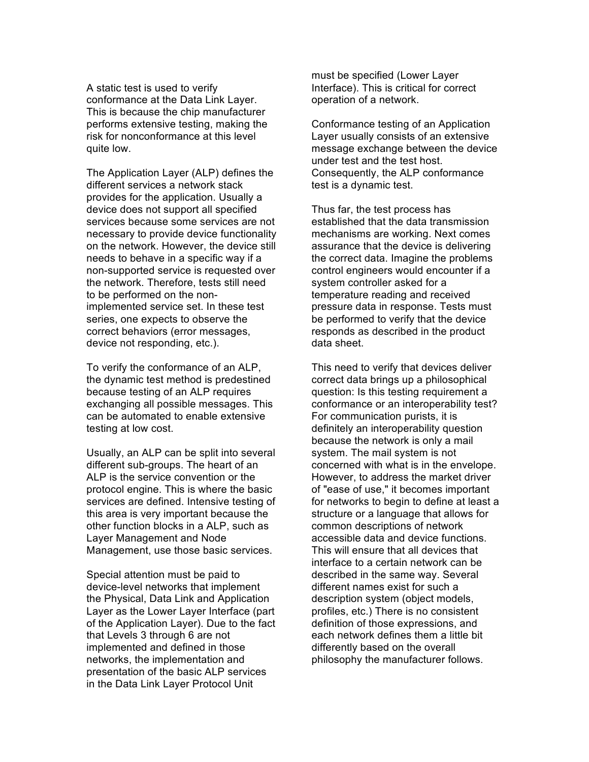A static test is used to verify conformance at the Data Link Layer. This is because the chip manufacturer performs extensive testing, making the risk for nonconformance at this level quite low.

The Application Layer (ALP) defines the different services a network stack provides for the application. Usually a device does not support all specified services because some services are not necessary to provide device functionality on the network. However, the device still needs to behave in a specific way if a non-supported service is requested over the network. Therefore, tests still need to be performed on the nonimplemented service set. In these test series, one expects to observe the correct behaviors (error messages, device not responding, etc.).

To verify the conformance of an ALP, the dynamic test method is predestined because testing of an ALP requires exchanging all possible messages. This can be automated to enable extensive testing at low cost.

Usually, an ALP can be split into several different sub-groups. The heart of an ALP is the service convention or the protocol engine. This is where the basic services are defined. Intensive testing of this area is very important because the other function blocks in a ALP, such as Layer Management and Node Management, use those basic services.

Special attention must be paid to device-level networks that implement the Physical, Data Link and Application Layer as the Lower Layer Interface (part of the Application Layer). Due to the fact that Levels 3 through 6 are not implemented and defined in those networks, the implementation and presentation of the basic ALP services in the Data Link Layer Protocol Unit

must be specified (Lower Layer Interface). This is critical for correct operation of a network.

Conformance testing of an Application Layer usually consists of an extensive message exchange between the device under test and the test host. Consequently, the ALP conformance test is a dynamic test.

Thus far, the test process has established that the data transmission mechanisms are working. Next comes assurance that the device is delivering the correct data. Imagine the problems control engineers would encounter if a system controller asked for a temperature reading and received pressure data in response. Tests must be performed to verify that the device responds as described in the product data sheet.

This need to verify that devices deliver correct data brings up a philosophical question: Is this testing requirement a conformance or an interoperability test? For communication purists, it is definitely an interoperability question because the network is only a mail system. The mail system is not concerned with what is in the envelope. However, to address the market driver of "ease of use," it becomes important for networks to begin to define at least a structure or a language that allows for common descriptions of network accessible data and device functions. This will ensure that all devices that interface to a certain network can be described in the same way. Several different names exist for such a description system (object models, profiles, etc.) There is no consistent definition of those expressions, and each network defines them a little bit differently based on the overall philosophy the manufacturer follows.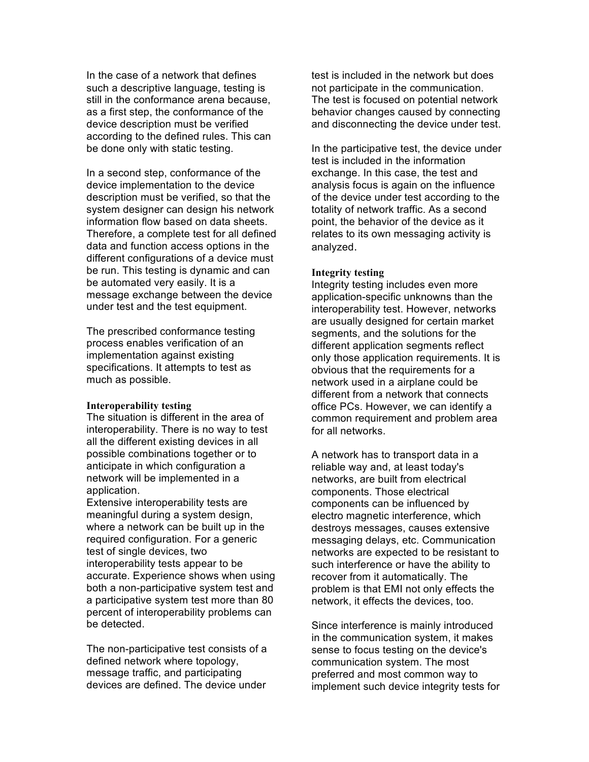In the case of a network that defines such a descriptive language, testing is still in the conformance arena because, as a first step, the conformance of the device description must be verified according to the defined rules. This can be done only with static testing.

In a second step, conformance of the device implementation to the device description must be verified, so that the system designer can design his network information flow based on data sheets. Therefore, a complete test for all defined data and function access options in the different configurations of a device must be run. This testing is dynamic and can be automated very easily. It is a message exchange between the device under test and the test equipment.

The prescribed conformance testing process enables verification of an implementation against existing specifications. It attempts to test as much as possible.

#### **Interoperability testing**

The situation is different in the area of interoperability. There is no way to test all the different existing devices in all possible combinations together or to anticipate in which configuration a network will be implemented in a application.

Extensive interoperability tests are meaningful during a system design, where a network can be built up in the required configuration. For a generic test of single devices, two interoperability tests appear to be accurate. Experience shows when using both a non-participative system test and a participative system test more than 80 percent of interoperability problems can be detected.

The non-participative test consists of a defined network where topology, message traffic, and participating devices are defined. The device under

test is included in the network but does not participate in the communication. The test is focused on potential network behavior changes caused by connecting and disconnecting the device under test.

In the participative test, the device under test is included in the information exchange. In this case, the test and analysis focus is again on the influence of the device under test according to the totality of network traffic. As a second point, the behavior of the device as it relates to its own messaging activity is analyzed.

### **Integrity testing**

Integrity testing includes even more application-specific unknowns than the interoperability test. However, networks are usually designed for certain market segments, and the solutions for the different application segments reflect only those application requirements. It is obvious that the requirements for a network used in a airplane could be different from a network that connects office PCs. However, we can identify a common requirement and problem area for all networks.

A network has to transport data in a reliable way and, at least today's networks, are built from electrical components. Those electrical components can be influenced by electro magnetic interference, which destroys messages, causes extensive messaging delays, etc. Communication networks are expected to be resistant to such interference or have the ability to recover from it automatically. The problem is that EMI not only effects the network, it effects the devices, too.

Since interference is mainly introduced in the communication system, it makes sense to focus testing on the device's communication system. The most preferred and most common way to implement such device integrity tests for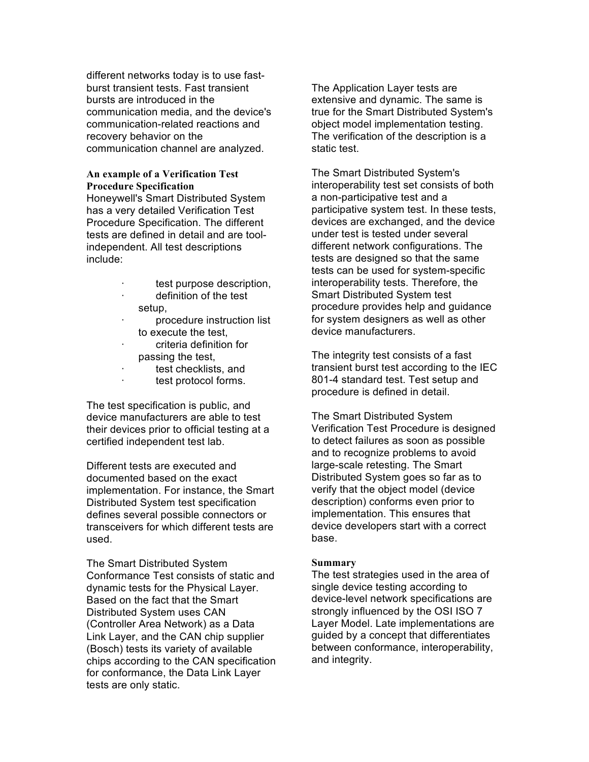different networks today is to use fastburst transient tests. Fast transient bursts are introduced in the communication media, and the device's communication-related reactions and recovery behavior on the communication channel are analyzed.

## **An example of a Verification Test Procedure Specification**

Honeywell's Smart Distributed System has a very detailed Verification Test Procedure Specification. The different tests are defined in detail and are toolindependent. All test descriptions include:

- test purpose description, definition of the test
- setup,
- · procedure instruction list to execute the test,
- criteria definition for passing the test,
- test checklists, and
- · test protocol forms.

The test specification is public, and device manufacturers are able to test their devices prior to official testing at a certified independent test lab.

Different tests are executed and documented based on the exact implementation. For instance, the Smart Distributed System test specification defines several possible connectors or transceivers for which different tests are used.

The Smart Distributed System Conformance Test consists of static and dynamic tests for the Physical Layer. Based on the fact that the Smart Distributed System uses CAN (Controller Area Network) as a Data Link Layer, and the CAN chip supplier (Bosch) tests its variety of available chips according to the CAN specification for conformance, the Data Link Layer tests are only static.

The Application Layer tests are extensive and dynamic. The same is true for the Smart Distributed System's object model implementation testing. The verification of the description is a static test.

The Smart Distributed System's interoperability test set consists of both a non-participative test and a participative system test. In these tests, devices are exchanged, and the device under test is tested under several different network configurations. The tests are designed so that the same tests can be used for system-specific interoperability tests. Therefore, the Smart Distributed System test procedure provides help and guidance for system designers as well as other device manufacturers.

The integrity test consists of a fast transient burst test according to the IEC 801-4 standard test. Test setup and procedure is defined in detail.

The Smart Distributed System Verification Test Procedure is designed to detect failures as soon as possible and to recognize problems to avoid large-scale retesting. The Smart Distributed System goes so far as to verify that the object model (device description) conforms even prior to implementation. This ensures that device developers start with a correct base.

## **Summary**

The test strategies used in the area of single device testing according to device-level network specifications are strongly influenced by the OSI ISO 7 Layer Model. Late implementations are guided by a concept that differentiates between conformance, interoperability, and integrity.